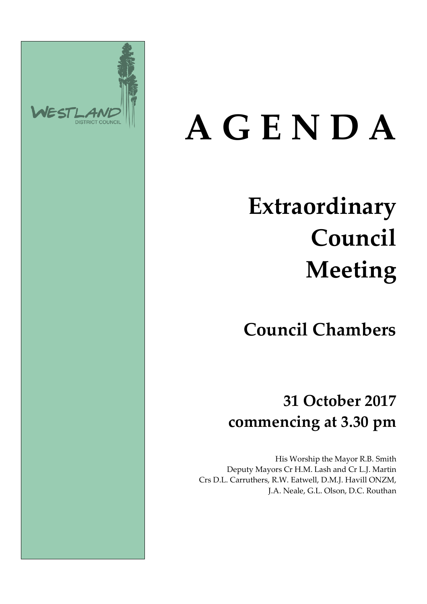

# **A G E N D A**

### **Extraordinary Council Meeting**

**Council Chambers**

**31 October 2017 commencing at 3.30 pm**

His Worship the Mayor R.B. Smith Deputy Mayors Cr H.M. Lash and Cr L.J. Martin Crs D.L. Carruthers, R.W. Eatwell, D.M.J. Havill ONZM, J.A. Neale, G.L. Olson, D.C. Routhan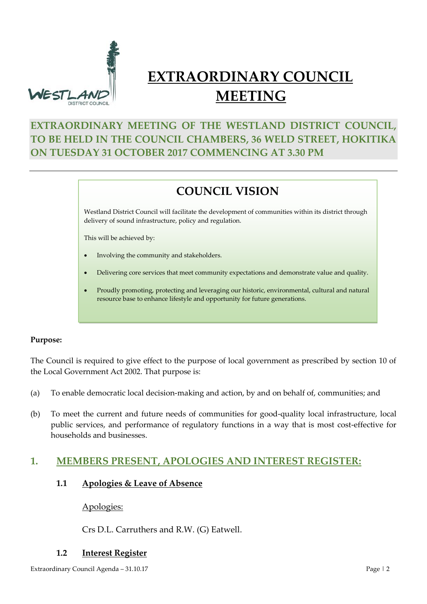

### **EXTRAORDINARY COUNCIL MEETING**

#### **EXTRAORDINARY MEETING OF THE WESTLAND DISTRICT COUNCIL, TO BE HELD IN THE COUNCIL CHAMBERS, 36 WELD STREET, HOKITIKA ON TUESDAY 31 OCTOBER 2017 COMMENCING AT 3.30 PM**

#### **COUNCIL VISION**

Westland District Council will facilitate the development of communities within its district through delivery of sound infrastructure, policy and regulation.

This will be achieved by:

- Involving the community and stakeholders.
- Delivering core services that meet community expectations and demonstrate value and quality.
- Proudly promoting, protecting and leveraging our historic, environmental, cultural and natural resource base to enhance lifestyle and opportunity for future generations.

#### **Purpose:**

The Council is required to give effect to the purpose of local government as prescribed by section 10 of the Local Government Act 2002. That purpose is:

- (a) To enable democratic local decision-making and action, by and on behalf of, communities; and
- (b) To meet the current and future needs of communities for good-quality local infrastructure, local public services, and performance of regulatory functions in a way that is most cost-effective for households and businesses.

#### **1. MEMBERS PRESENT, APOLOGIES AND INTEREST REGISTER:**

#### **1.1 Apologies & Leave of Absence**

Apologies:

Crs D.L. Carruthers and R.W. (G) Eatwell.

#### **1.2 Interest Register**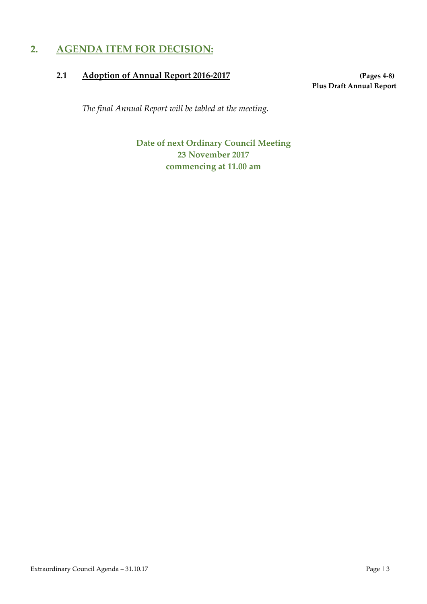#### **2. AGENDA ITEM FOR DECISION:**

#### **2.1 Adoption of Annual Report 2016-2017 (Pages 4-8)**

**Plus Draft Annual Report**

*The final Annual Report will be tabled at the meeting.*

**Date of next Ordinary Council Meeting 23 November 2017 commencing at 11.00 am**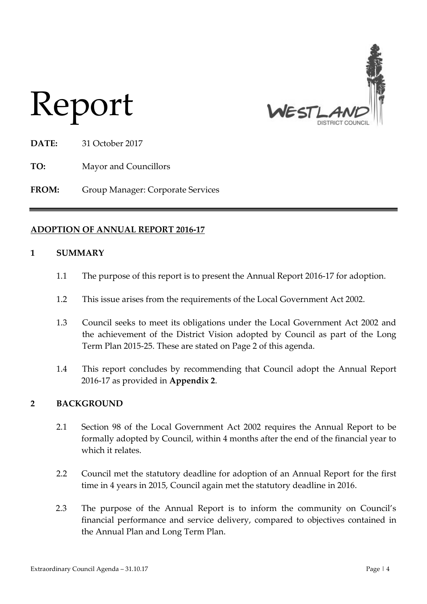

## Report

**DATE:** 31 October 2017

**TO:** Mayor and Councillors

**FROM:** Group Manager: Corporate Services

#### **ADOPTION OF ANNUAL REPORT 2016-17**

#### **1 SUMMARY**

- 1.1 The purpose of this report is to present the Annual Report 2016-17 for adoption.
- 1.2 This issue arises from the requirements of the Local Government Act 2002.
- 1.3 Council seeks to meet its obligations under the Local Government Act 2002 and the achievement of the District Vision adopted by Council as part of the Long Term Plan 2015-25. These are stated on Page 2 of this agenda.
- 1.4 This report concludes by recommending that Council adopt the Annual Report 2016-17 as provided in **Appendix 2**.

#### **2 BACKGROUND**

- 2.1 Section 98 of the Local Government Act 2002 requires the Annual Report to be formally adopted by Council, within 4 months after the end of the financial year to which it relates.
- 2.2 Council met the statutory deadline for adoption of an Annual Report for the first time in 4 years in 2015, Council again met the statutory deadline in 2016.
- 2.3 The purpose of the Annual Report is to inform the community on Council's financial performance and service delivery, compared to objectives contained in the Annual Plan and Long Term Plan.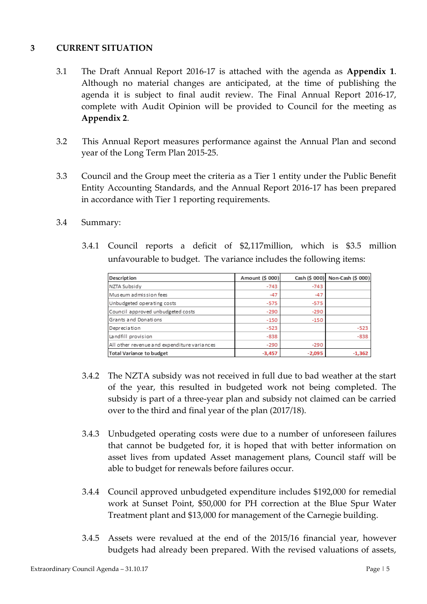#### **3 CURRENT SITUATION**

- 3.1 The Draft Annual Report 2016-17 is attached with the agenda as **Appendix 1**. Although no material changes are anticipated, at the time of publishing the agenda it is subject to final audit review. The Final Annual Report 2016-17, complete with Audit Opinion will be provided to Council for the meeting as **Appendix 2**.
- 3.2 This Annual Report measures performance against the Annual Plan and second year of the Long Term Plan 2015-25.
- 3.3 Council and the Group meet the criteria as a Tier 1 entity under the Public Benefit Entity Accounting Standards, and the Annual Report 2016-17 has been prepared in accordance with Tier 1 reporting requirements.

#### 3.4 Summary:

3.4.1 Council reports a deficit of \$2,117million, which is \$3.5 million unfavourable to budget. The variance includes the following items:

| <b>Description</b>                          | Amount (\$ 000) |          | Cash (\$ 000) Non-Cash (\$ 000) |
|---------------------------------------------|-----------------|----------|---------------------------------|
| NZTA Subsidy                                | $-743$          | $-743$   |                                 |
| Museum admission fees                       | $-47$           | $-47$    |                                 |
| Unbudgeted operating costs                  | $-575$          | $-575$   |                                 |
| Council approved unbudgeted costs           | $-290$          | $-290$   |                                 |
| Grants and Donations                        | $-150$          | $-150$   |                                 |
| Depreciation                                | $-523$          |          | $-523$                          |
| Landfill provision                          | $-838$          |          | $-838$                          |
| All other revenue and expenditure variances | $-290$          | $-290$   |                                 |
| <b>Total Variance to budget</b>             | $-3,457$        | $-2,095$ | $-1,362$                        |

- 3.4.2 The NZTA subsidy was not received in full due to bad weather at the start of the year, this resulted in budgeted work not being completed. The subsidy is part of a three-year plan and subsidy not claimed can be carried over to the third and final year of the plan (2017/18).
- 3.4.3 Unbudgeted operating costs were due to a number of unforeseen failures that cannot be budgeted for, it is hoped that with better information on asset lives from updated Asset management plans, Council staff will be able to budget for renewals before failures occur.
- 3.4.4 Council approved unbudgeted expenditure includes \$192,000 for remedial work at Sunset Point, \$50,000 for PH correction at the Blue Spur Water Treatment plant and \$13,000 for management of the Carnegie building.
- 3.4.5 Assets were revalued at the end of the 2015/16 financial year, however budgets had already been prepared. With the revised valuations of assets,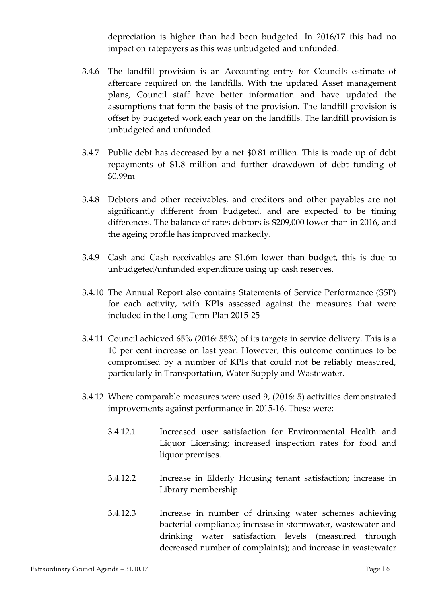depreciation is higher than had been budgeted. In 2016/17 this had no impact on ratepayers as this was unbudgeted and unfunded.

- 3.4.6 The landfill provision is an Accounting entry for Councils estimate of aftercare required on the landfills. With the updated Asset management plans, Council staff have better information and have updated the assumptions that form the basis of the provision. The landfill provision is offset by budgeted work each year on the landfills. The landfill provision is unbudgeted and unfunded.
- 3.4.7 Public debt has decreased by a net \$0.81 million. This is made up of debt repayments of \$1.8 million and further drawdown of debt funding of \$0.99m
- 3.4.8 Debtors and other receivables, and creditors and other payables are not significantly different from budgeted, and are expected to be timing differences. The balance of rates debtors is \$209,000 lower than in 2016, and the ageing profile has improved markedly.
- 3.4.9 Cash and Cash receivables are \$1.6m lower than budget, this is due to unbudgeted/unfunded expenditure using up cash reserves.
- 3.4.10 The Annual Report also contains Statements of Service Performance (SSP) for each activity, with KPIs assessed against the measures that were included in the Long Term Plan 2015-25
- 3.4.11 Council achieved 65% (2016: 55%) of its targets in service delivery. This is a 10 per cent increase on last year. However, this outcome continues to be compromised by a number of KPIs that could not be reliably measured, particularly in Transportation, Water Supply and Wastewater.
- 3.4.12 Where comparable measures were used 9, (2016: 5) activities demonstrated improvements against performance in 2015-16. These were:
	- 3.4.12.1 Increased user satisfaction for Environmental Health and Liquor Licensing; increased inspection rates for food and liquor premises.
	- 3.4.12.2 Increase in Elderly Housing tenant satisfaction; increase in Library membership.
	- 3.4.12.3 Increase in number of drinking water schemes achieving bacterial compliance; increase in stormwater, wastewater and drinking water satisfaction levels (measured through decreased number of complaints); and increase in wastewater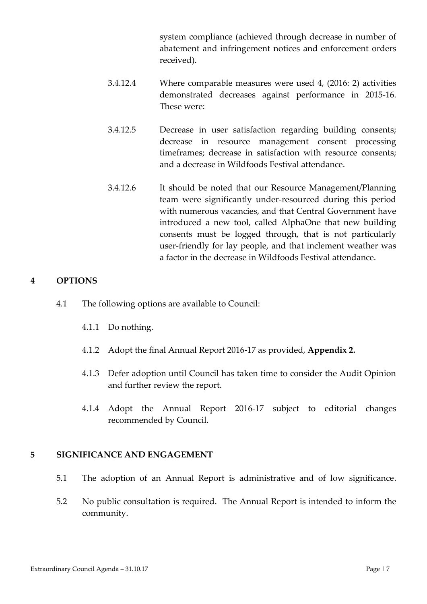system compliance (achieved through decrease in number of abatement and infringement notices and enforcement orders received).

- 3.4.12.4 Where comparable measures were used 4, (2016: 2) activities demonstrated decreases against performance in 2015-16. These were:
- 3.4.12.5 Decrease in user satisfaction regarding building consents; decrease in resource management consent processing timeframes; decrease in satisfaction with resource consents; and a decrease in Wildfoods Festival attendance.
- 3.4.12.6 It should be noted that our Resource Management/Planning team were significantly under-resourced during this period with numerous vacancies, and that Central Government have introduced a new tool, called AlphaOne that new building consents must be logged through, that is not particularly user-friendly for lay people, and that inclement weather was a factor in the decrease in Wildfoods Festival attendance.

#### **4 OPTIONS**

- 4.1 The following options are available to Council:
	- 4.1.1 Do nothing.
	- 4.1.2 Adopt the final Annual Report 2016-17 as provided, **Appendix 2.**
	- 4.1.3 Defer adoption until Council has taken time to consider the Audit Opinion and further review the report.
	- 4.1.4 Adopt the Annual Report 2016-17 subject to editorial changes recommended by Council.

#### **5 SIGNIFICANCE AND ENGAGEMENT**

- 5.1 The adoption of an Annual Report is administrative and of low significance.
- 5.2 No public consultation is required. The Annual Report is intended to inform the community.